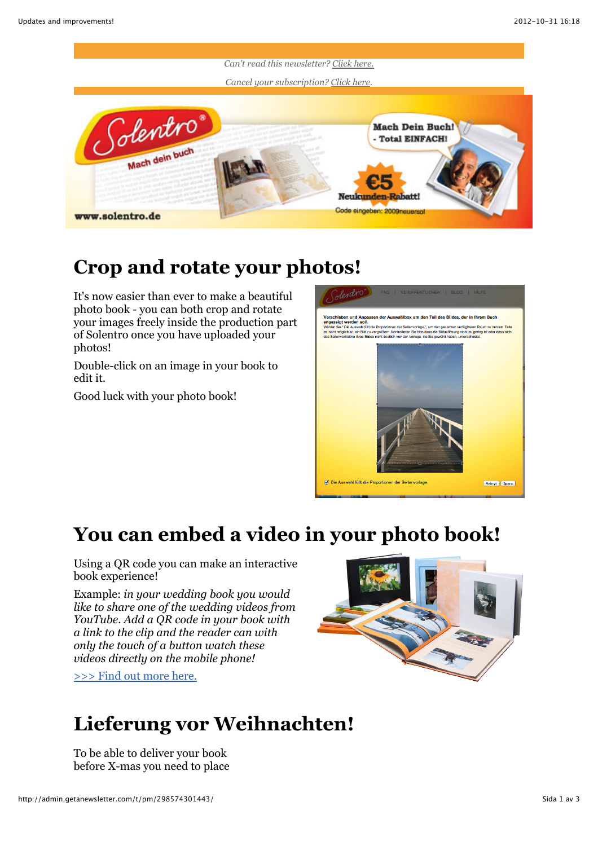

## **Crop and rotate your photos!**

It's now easier than ever to make a beautiful photo book - you can both crop and rotate your images freely inside the production part of Solentro once you have uploaded your photos!

Double-click on an image in your book to edit it.

Good luck with your photo book!



## **You can embed a video in your photo book!**

Using a QR code you can make an interactive book experience!

Example: *in your wedding book you would like to share one of the wedding videos from YouTube. Add a QR code in your book with a link to the clip and the reader can with only the touch of a button watch these videos directly on the mobile phone!*

[>>> Find out more here.](http://goqr.me/)



## **Lieferung vor Weihnachten!**

To be able to deliver your book before X-mas you need to place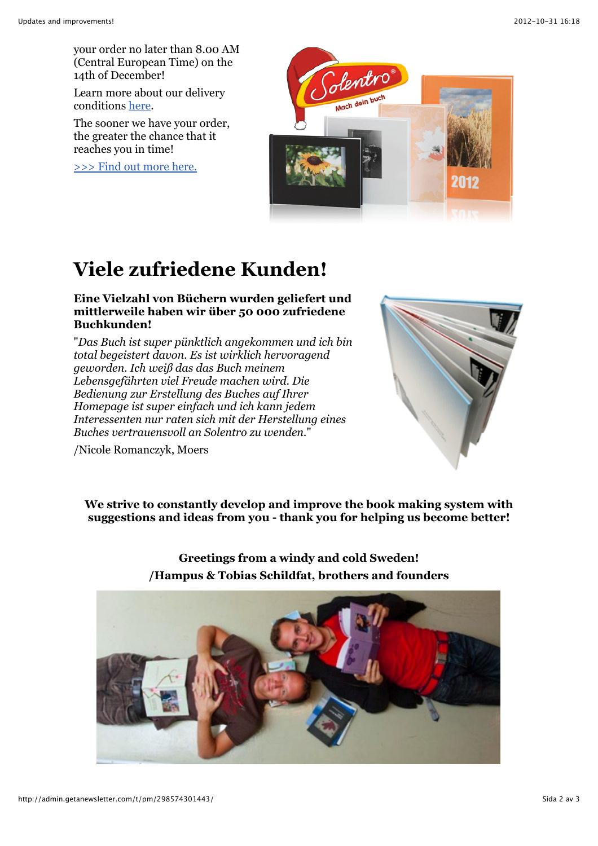your order no later than 8.00 AM (Central European Time) on the 14th of December!

Learn more about our delivery conditions [here](http://www.solentro.de/buchversand).

The sooner we have your order, the greater the chance that it reaches you in time!

[>>> Find out more here.](http://www.solentro.de/buchversand)



# **Viele zufriedene Kunden!**

#### **Eine Vielzahl von Büchern wurden geliefert und mittlerweile haben wir über 50 000 zufriedene Buchkunden!**

"*Das Buch ist super pünktlich angekommen und ich bin total begeistert davon. Es ist wirklich hervoragend geworden. Ich weiß das das Buch meinem Lebensgefährten viel Freude machen wird. Die Bedienung zur Erstellung des Buches auf Ihrer Homepage ist super einfach und ich kann jedem Interessenten nur raten sich mit der Herstellung eines Buches vertrauensvoll an Solentro zu wenden.*"



/Nicole Romanczyk, Moers

**We strive to constantly develop and improve the book making system with suggestions and ideas from you - thank you for helping us become better!**

### **Greetings from a windy and cold Sweden! /Hampus & Tobias Schildfat, brothers and founders**